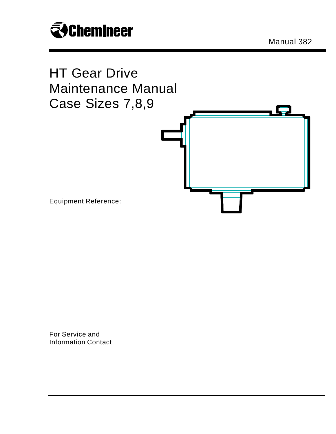

Manual 382



For Service and Information Contact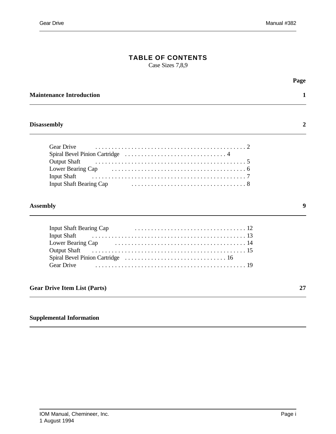## **TABLE OF CONTENTS**

Case Sizes 7,8,9

|                                                                                                                       | Page |
|-----------------------------------------------------------------------------------------------------------------------|------|
| <b>Maintenance Introduction</b>                                                                                       |      |
| <b>Disassembly</b>                                                                                                    | 2    |
| <b>Gear Drive</b><br><b>Output Shaft</b><br><b>Input Shaft</b>                                                        |      |
| <b>Assembly</b>                                                                                                       | 9    |
| <b>Input Shaft Bearing Cap</b><br><b>Input Shaft</b><br>Lower Bearing Cap<br><b>Output Shaft</b><br><b>Gear Drive</b> |      |
| <b>Gear Drive Item List (Parts)</b>                                                                                   | 27   |
|                                                                                                                       |      |

## **Supplemental Information**

 $\overline{a}$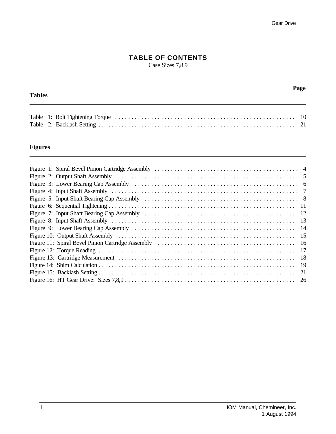## **TABLE OF CONTENTS**

Case Sizes 7,8,9

#### **Tables**

 $\overline{a}$ 

**Page**

## **Figures**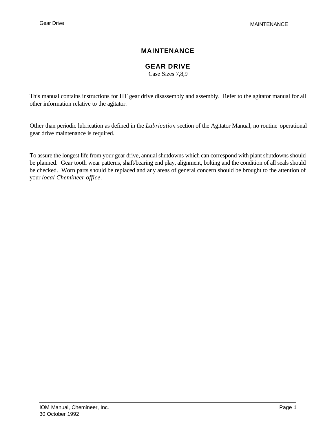## **MAINTENANCE**

## **GEAR DRIVE**

Case Sizes 7,8,9

This manual contains instructions for HT gear drive disassembly and assembly. Refer to the agitator manual for all other information relative to the agitator.

Other than periodic lubrication as defined in the *Lubrication* section of the Agitator Manual, no routine operational gear drive maintenance is required.

To assure the longest life from your gear drive, annual shutdowns which can correspond with plant shutdowns should be planned. Gear tooth wear patterns, shaft/bearing end play, alignment, bolting and the condition of all seals should be checked. Worn parts should be replaced and any areas of general concern should be brought to the attention of your *local Chemineer office*.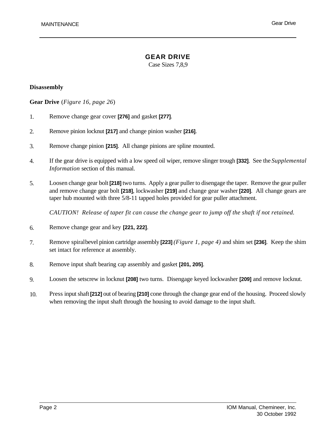Case Sizes 7,8,9

#### **Disassembly**

 $\overline{a}$ 

**Gear Drive** (*Figure 16, page 26*)

- 1. Remove change gear cover **[276]** and gasket **[277]**.
- 2. Remove pinion locknut **[217]** and change pinion washer **[216]**.
- 3. Remove change pinion **[215]**. All change pinions are spline mounted.
- 4. If the gear drive is equipped with a low speed oil wiper, remove slinger trough **[332]**. See the *Supplemental Information* section of this manual.
- 5. Loosen change gear bolt **[218]** two turns. Apply a gear puller to disengage the taper. Remove the gear puller and remove change gear bolt **[218]**, lockwasher **[219]** and change gear washer **[220]**. All change gears are taper hub mounted with three 5/8-11 tapped holes provided for gear puller attachment.

*CAUTION! Release of taper fit can cause the change gear to jump off the shaft if not retained.*

- 6. Remove change gear and key **[221, 222]**.
- 7. Remove spiral bevel pinion cartridge assembly **[223]** *(Figure 1, page 4)* and shim set **[236]**. Keep the shim set intact for reference at assembly.
- 8. Remove input shaft bearing cap assembly and gasket **[201, 205]**.
- 9. Loosen the setscrew in locknut **[208]** two turns. Disengage keyed lockwasher **[209]** and remove locknut.
- 10. Press input shaft **[212]** out of bearing **[210]** cone through the change gear end of the housing. Proceed slowly when removing the input shaft through the housing to avoid damage to the input shaft.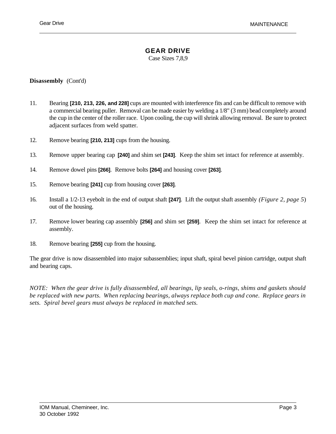Case Sizes 7,8,9

#### **Disassembly** (Cont'd)

- 11. Bearing **[210, 213, 226, and 228]** cups are mounted with interference fits and can be difficult to remove with a commercial bearing puller. Removal can be made easier by welding a 1/8" (3 mm) bead completely around the cup in the center of the roller race. Upon cooling, the cup will shrink allowing removal. Be sure to protect adjacent surfaces from weld spatter.
- 12. Remove bearing **[210, 213]** cups from the housing.
- 13. Remove upper bearing cap **[240]** and shim set **[243]**. Keep the shim set intact for reference at assembly.
- 14. Remove dowel pins **[266]**. Remove bolts **[264]** and housing cover **[263]**.
- 15. Remove bearing **[241]** cup from housing cover **[263]**.
- 16. Install a 1/2-13 eyebolt in the end of output shaft **[247]**. Lift the output shaft assembly *(Figure 2, page 5*) out of the housing.
- 17. Remove lower bearing cap assembly **[256]** and shim set **[259]**. Keep the shim set intact for reference at assembly.
- 18. Remove bearing **[255]** cup from the housing.

The gear drive is now disassembled into major subassemblies; input shaft, spiral bevel pinion cartridge, output shaft and bearing caps.

*NOTE: When the gear drive is fully disassembled, all bearings, lip seals, o-rings, shims and gaskets should be replaced with new parts. When replacing bearings, always replace both cup and cone. Replace gears in sets. Spiral bevel gears must always be replaced in matched sets.*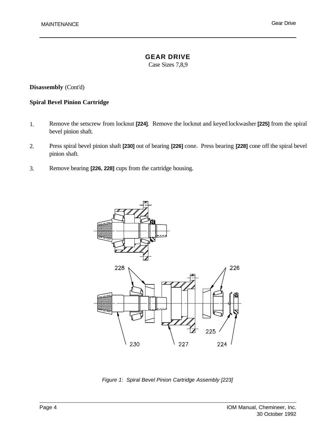## **GEAR DRIVE**

Case Sizes 7,8,9

#### **Disassembly** (Cont'd)

#### **Spiral Bevel Pinion Cartridge**

- 1. Remove the setscrew from locknut **[224]**. Remove the locknut and keyed lockwasher **[225]** from the spiral bevel pinion shaft.
- 2. Press spiral bevel pinion shaft **[230]** out of bearing **[226]** cone. Press bearing **[228]** cone off the spiral bevel pinion shaft.
- 3. Remove bearing **[226, 228]** cups from the cartridge housing.



*Figure 1: Spiral Bevel Pinion Cartridge Assembly [223]*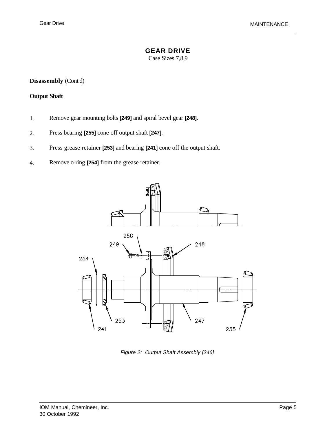Case Sizes 7,8,9

**Disassembly** (Cont'd)

#### **Output Shaft**

- 1. Remove gear mounting bolts **[249]** and spiral bevel gear **[248]**.
- 2. Press bearing **[255]** cone off output shaft **[247]**.
- 3. Press grease retainer **[253]** and bearing **[241]** cone off the output shaft.
- 4. Remove o-ring **[254]** from the grease retainer.



*Figure 2: Output Shaft Assembly [246]*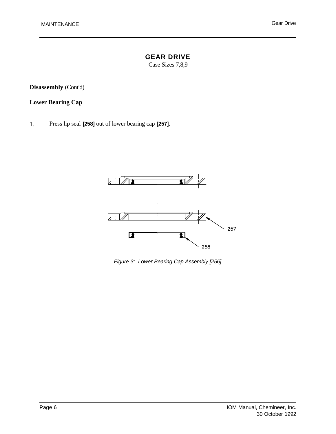## **GEAR DRIVE**

Case Sizes 7,8,9

**Disassembly** (Cont'd)

## **Lower Bearing Cap**

1. Press lip seal **[258]** out of lower bearing cap **[257]**.



*Figure 3: Lower Bearing Cap Assembly [256]*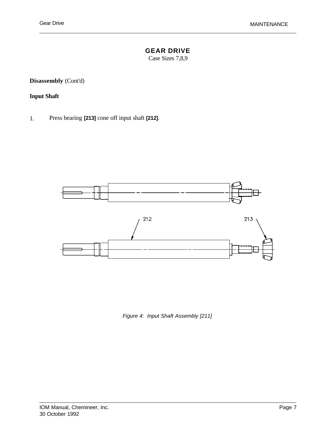Case Sizes 7,8,9

**Disassembly** (Cont'd)

## **Input Shaft**

1. Press bearing **[213]** cone off input shaft **[212]**.



*Figure 4: Input Shaft Assembly [211]*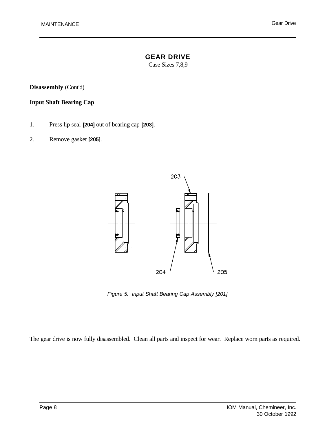# **GEAR DRIVE**

Case Sizes 7,8,9

**Disassembly** (Cont'd)

#### **Input Shaft Bearing Cap**

- 1. Press lip seal **[204]** out of bearing cap **[203]**.
- 2. Remove gasket **[205]**.



*Figure 5: Input Shaft Bearing Cap Assembly [201]*

The gear drive is now fully disassembled. Clean all parts and inspect for wear. Replace worn parts as required.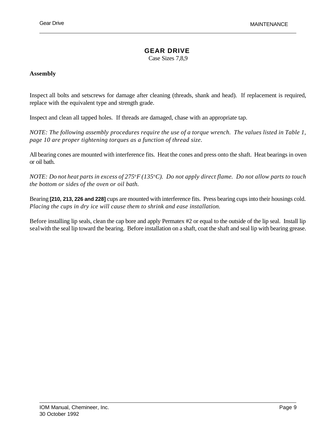Case Sizes 7,8,9

#### **Assembly**

Inspect all bolts and setscrews for damage after cleaning (threads, shank and head). If replacement is required, replace with the equivalent type and strength grade.

Inspect and clean all tapped holes. If threads are damaged, chase with an appropriate tap.

*NOTE: The following assembly procedures require the use of a torque wrench. The values listed in Table 1, page 10 are proper tightening torques as a function of thread size.*

All bearing cones are mounted with interference fits. Heat the cones and press onto the shaft. Heat bearings in oven or oil bath.

*NOTE: Do not heat parts in excess of 275*<sup>o</sup>*F (135*<sup>o</sup>*C). Do not apply direct flame. Do not allow parts to touch the bottom or sides of the oven or oil bath.* 

Bearing **[210, 213, 226 and 228]** cups are mounted with interference fits. Press bearing cups into their housings cold. *Placing the cups in dry ice will cause them to shrink and ease installation.*

Before installing lip seals, clean the cap bore and apply Permatex #2 or equal to the outside of the lip seal. Install lip seal with the seal lip toward the bearing. Before installation on a shaft, coat the shaft and seal lip with bearing grease.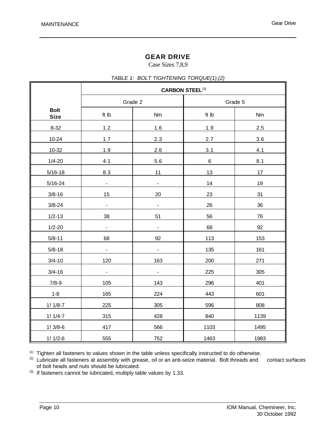## **GEAR DRIVE**

Case Sizes 7,8,9

#### *TABLE 1: BOLT TIGHTENING TORQUE(1),(2)*

|                            | <b>CARBON STEEL(3)</b>       |                          |         |      |  |  |
|----------------------------|------------------------------|--------------------------|---------|------|--|--|
|                            | Grade 2                      |                          | Grade 5 |      |  |  |
| <b>Bolt</b><br><b>Size</b> | ft Ib<br>Nm                  |                          | ft Ib   | Nm   |  |  |
| $8 - 32$                   | 1.2                          | 1.6                      | 1.9     | 2.5  |  |  |
| $10 - 24$                  | 1.7                          | 2.3                      | 2.7     | 3.6  |  |  |
| 10-32                      | 1.9                          | 2.6                      | 3.1     | 4.1  |  |  |
| $1/4 - 20$                 | 4.1                          | 5.6                      | $\,6\,$ | 8.1  |  |  |
| $5/16 - 18$                | 8.3                          | 11                       | 13      | 17   |  |  |
| $5/16 - 24$                | $\frac{1}{2}$                | $\overline{\phantom{a}}$ | 14      | 19   |  |  |
| $3/8 - 16$                 | 15                           | 20                       | 23      | 31   |  |  |
| $3/8 - 24$                 | $\qquad \qquad \blacksquare$ | $\overline{\phantom{0}}$ | 26      | 36   |  |  |
| $1/2 - 13$                 | 38                           | 51                       | 56      | 76   |  |  |
| $1/2 - 20$                 |                              | $\blacksquare$           | 68      | 92   |  |  |
| $5/8 - 11$                 | 68                           | 92                       | 113     | 153  |  |  |
| $5/8 - 18$                 | $\overline{\phantom{0}}$     | $\blacksquare$           | 135     | 161  |  |  |
| $3/4 - 10$                 | 120                          | 163                      | 200     | 271  |  |  |
| $3/4 - 16$                 | $\blacksquare$               | $\blacksquare$           | 225     | 305  |  |  |
| $7/8-9$                    | 105                          | 143                      | 296     | 401  |  |  |
| $1 - 8$                    | 165                          | 224                      | 443     | 601  |  |  |
| $1! 1/8-7$                 | 225                          | 305                      | 596     | 808  |  |  |
| $1! 1/4-7$                 | 315                          | 428                      | 840     | 1139 |  |  |
| $1!3/8-6$                  | 417                          | 566                      | 1103    | 1495 |  |  |
| $1! 1/2-6$                 | 555                          | 752                      | 1463    | 1983 |  |  |

(1) Tighten all fasteners to values shown in the table unless specifically instructed to do otherwise.

<sup>(2)</sup> Lubricate all fasteners at assembly with grease, oil or an anti-seize material. Bolt threads and contact surfaces of bolt heads and nuts should be lubricated.

(3) If fasteners cannot be lubricated, multiply table values by 1.33.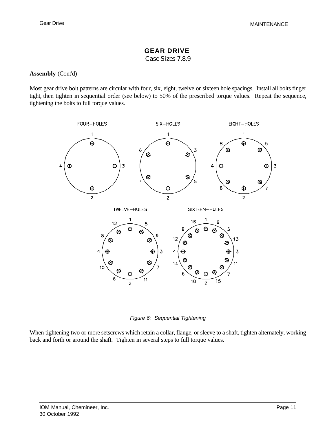Case Sizes 7,8,9

#### **Assembly** (Cont'd)

Most gear drive bolt patterns are circular with four, six, eight, twelve or sixteen hole spacings. Install all bolts finger tight, then tighten in sequential order (see below) to 50% of the prescribed torque values. Repeat the sequence, tightening the bolts to full torque values.



*Figure 6: Sequential Tightening*

When tightening two or more setscrews which retain a collar, flange, or sleeve to a shaft, tighten alternately, working back and forth or around the shaft. Tighten in several steps to full torque values.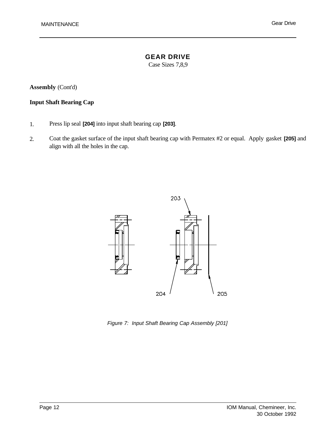# **GEAR DRIVE**

Case Sizes 7,8,9

**Assembly** (Cont'd)

### **Input Shaft Bearing Cap**

- 1. Press lip seal **[204]** into input shaft bearing cap **[203]**.
- 2. Coat the gasket surface of the input shaft bearing cap with Permatex #2 or equal. Apply gasket **[205]** and align with all the holes in the cap.



*Figure 7: Input Shaft Bearing Cap Assembly [201]*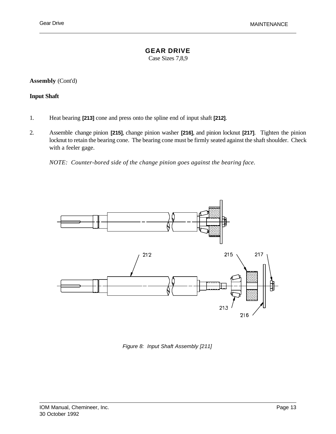Case Sizes 7,8,9

**Assembly** (Cont'd)

#### **Input Shaft**

- 1. Heat bearing **[213]** cone and press onto the spline end of input shaft **[212]**.
- 2. Assemble change pinion **[215]**, change pinion washer **[216]**, and pinion locknut **[217]**. Tighten the pinion locknut to retain the bearing cone. The bearing cone must be firmly seated against the shaft shoulder. Check with a feeler gage.

*NOTE: Counter-bored side of the change pinion goes against the bearing face.*



*Figure 8: Input Shaft Assembly [211]*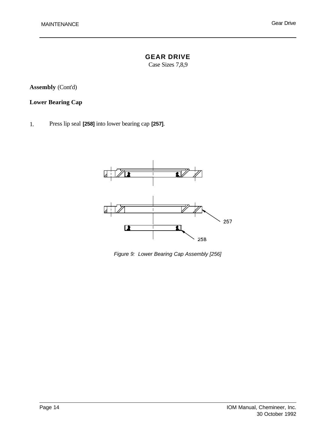# **GEAR DRIVE**

Case Sizes 7,8,9

**Assembly** (Cont'd)

## **Lower Bearing Cap**

1. Press lip seal **[258]** into lower bearing cap **[257]**.



*Figure 9: Lower Bearing Cap Assembly [256]*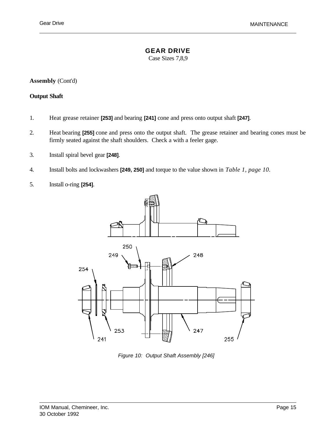Case Sizes 7,8,9

**Assembly** (Cont'd)

#### **Output Shaft**

- 1. Heat grease retainer **[253]** and bearing **[241]** cone and press onto output shaft **[247]**.
- 2. Heat bearing **[255]** cone and press onto the output shaft. The grease retainer and bearing cones must be firmly seated against the shaft shoulders. Check a with a feeler gage.
- 3. Install spiral bevel gear **[248]**.
- 4. Install bolts and lockwashers **[249, 250]** and torque to the value shown in *Table 1, page 10.*
- 5. Install o-ring **[254]**.



*Figure 10: Output Shaft Assembly [246]*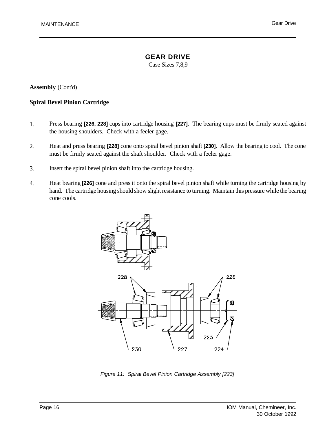## **GEAR DRIVE**

Case Sizes 7,8,9

#### **Assembly** (Cont'd)

#### **Spiral Bevel Pinion Cartridge**

- 1. Press bearing **[226, 228]** cups into cartridge housing **[227]**. The bearing cups must be firmly seated against the housing shoulders. Check with a feeler gage.
- 2. Heat and press bearing **[228]** cone onto spiral bevel pinion shaft **[230]**. Allow the bearing to cool. The cone must be firmly seated against the shaft shoulder. Check with a feeler gage.
- 3. Insert the spiral bevel pinion shaft into the cartridge housing.
- 4. Heat bearing **[226]** cone and press it onto the spiral bevel pinion shaft while turning the cartridge housing by hand. The cartridge housing should show slight resistance to turning. Maintain this pressure while the bearing cone cools.



*Figure 11: Spiral Bevel Pinion Cartridge Assembly [223]*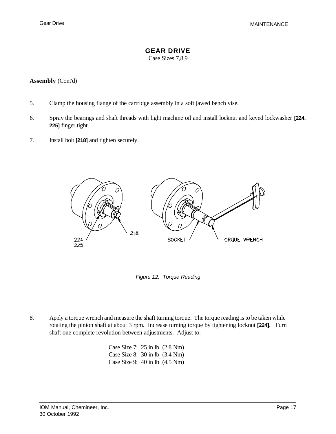Case Sizes 7,8,9

#### **Assembly** (Cont'd)

- 5. Clamp the housing flange of the cartridge assembly in a soft jawed bench vise.
- 6. Spray the bearings and shaft threads with light machine oil and install locknut and keyed lockwasher **[224, 225]** finger tight.
- 7. Install bolt **[218]** and tighten securely.



*Figure 12: Torque Reading*

8. Apply a torque wrench and measure the shaft turning torque. The torque reading is to be taken while rotating the pinion shaft at about 3 rpm. Increase turning torque by tightening locknut **[224]**. Turn shaft one complete revolution between adjustments. Adjust to:

> Case Size 7: 25 in lb (2.8 Nm) Case Size 8: 30 in lb (3.4 Nm) Case Size 9: 40 in lb (4.5 Nm)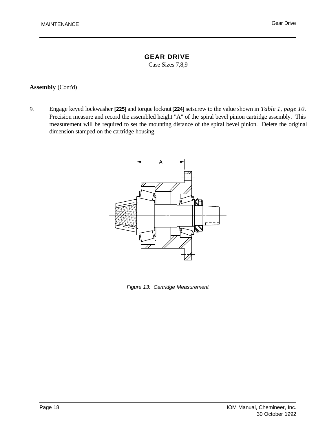## **GEAR DRIVE**

Case Sizes 7,8,9

#### **Assembly** (Cont'd)

9. Engage keyed lockwasher **[225]** and torque locknut **[224]** setscrew to the value shown in *Table 1, page 10*. Precision measure and record the assembled height "A" of the spiral bevel pinion cartridge assembly. This measurement will be required to set the mounting distance of the spiral bevel pinion. Delete the original dimension stamped on the cartridge housing.



*Figure 13: Cartridge Measurement*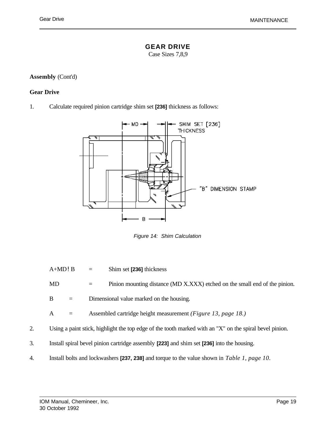Case Sizes 7,8,9

#### **Assembly** (Cont'd)

#### **Gear Drive**

1. Calculate required pinion cartridge shim set **[236]** thickness as follows:



*Figure 14: Shim Calculation*

A+MD!B = Shim set **[236]** thickness

MD = Pinion mounting distance (MD X.XXX) etched on the small end of the pinion.

 $B =$  Dimensional value marked on the housing.

A = Assembled cartridge height measurement *(Figure 13, page 18.)*

- 2. Using a paint stick, highlight the top edge of the tooth marked with an "X" on the spiral bevel pinion.
- 3. Install spiral bevel pinion cartridge assembly **[223]** and shim set **[236]** into the housing.
- 4. Install bolts and lockwashers **[237, 238]** and torque to the value shown in *Table 1, page 10*.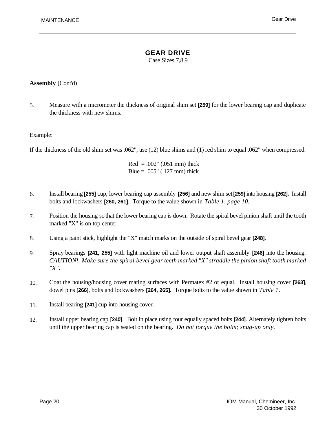Case Sizes 7,8,9

#### **Assembly** (Cont'd)

5. Measure with a micrometer the thickness of original shim set **[259]** for the lower bearing cap and duplicate the thickness with new shims.

#### Example:

 $\overline{a}$ 

If the thickness of the old shim set was .062", use (12) blue shims and (1) red shim to equal .062" when compressed.

 $Red = .002" (.051 mm)$  thick Blue =  $.005$ " ( $.127$  mm) thick

- 6. Install bearing **[255]** cup, lower bearing cap assembly **[256]** and new shim set **[259]** into housing **[262]**. Install bolts and lockwashers **[260, 261]**. Torque to the value shown in *Table 1, page 10.*
- 7. Position the housing so that the lower bearing cap is down. Rotate the spiral bevel pinion shaft until the tooth marked "X" is on top center.
- 8. Using a paint stick, highlight the "X" match marks on the outside of spiral bevel gear **[248]**.
- 9. Spray bearings **[241, 255]** with light machine oil and lower output shaft assembly **[246]** into the housing. *CAUTION! Make sure the spiral bevel gear teeth marked "X" straddle the pinion shaft tooth marked "X".*
- 10. Coat the housing/housing cover mating surfaces with Permatex #2 or equal. Install housing cover **[263]**, dowel pins **[266]**, bolts and lockwashers **[264, 265]**. Torque bolts to the value shown in *Table 1*.
- 11. Install bearing **[241]** cup into housing cover.
- 12. Install upper bearing cap **[240]**. Bolt in place using four equally spaced bolts **[244]**. Alternately tighten bolts until the upper bearing cap is seated on the bearing. *Do not torque the bolts; snug-up only.*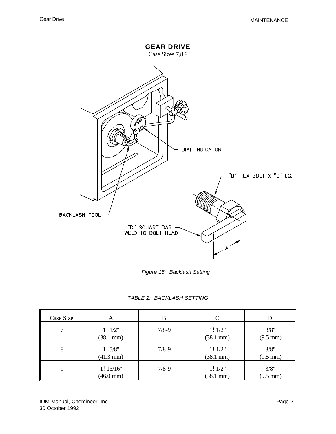

*Figure 15: Backlash Setting*

| TABLE 2: BACKLASH SETTING |  |  |
|---------------------------|--|--|
|---------------------------|--|--|

| Case Size | A                   | В         | C                   |                    |
|-----------|---------------------|-----------|---------------------|--------------------|
| 7         | 1!1/2"              | $7/8-9$   | 1!1/2"              | 3/8"               |
|           | $(38.1 \text{ mm})$ |           | $(38.1 \text{ mm})$ | $(9.5 \text{ mm})$ |
| 8         | 1!5/8"              | $7/8-9$   | 1!1/2"              | 3/8"               |
|           | $(41.3 \text{ mm})$ |           | $(38.1 \text{ mm})$ | $(9.5 \text{ mm})$ |
| 9         | 1! 13/16"           | $7/8 - 9$ | 1!1/2"              | 3/8"               |
|           | $(46.0 \text{ mm})$ |           | $(38.1 \text{ mm})$ | $(9.5 \text{ mm})$ |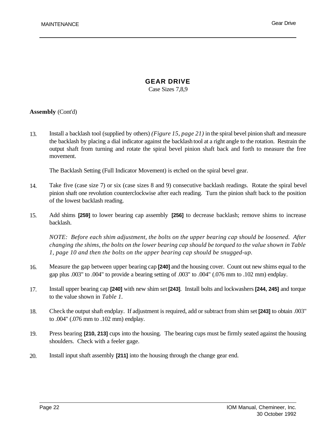## **GEAR DRIVE**

Case Sizes 7,8,9

#### **Assembly** (Cont'd)

13. Install a backlash tool (supplied by others) *(Figure 15, page 21)* in the spiral bevel pinion shaft and measure the backlash by placing a dial indicator against the backlash tool at a right angle to the rotation. Restrain the output shaft from turning and rotate the spiral bevel pinion shaft back and forth to measure the free movement.

The Backlash Setting (Full Indicator Movement) is etched on the spiral bevel gear.

- 14. Take five (case size 7) or six (case sizes 8 and 9) consecutive backlash readings. Rotate the spiral bevel pinion shaft one revolution counterclockwise after each reading. Turn the pinion shaft back to the position of the lowest backlash reading.
- 15. Add shims **[259]** to lower bearing cap assembly **[256]** to decrease backlash; remove shims to increase backlash.

*NOTE: Before each shim adjustment, the bolts on the upper bearing cap should be loosened. After changing the shims, the bolts on the lower bearing cap should be torqued to the value shown in Table 1, page 10 and then the bolts on the upper bearing cap should be snugged-up.* 

- 16. Measure the gap between upper bearing cap **[240]** and the housing cover. Count out new shims equal to the gap plus .003" to .004" to provide a bearing setting of .003" to .004" (.076 mm to .102 mm) endplay.
- 17. Install upper bearing cap **[240]** with new shim set **[243]**. Install bolts and lockwashers **[244, 245]** and torque to the value shown in *Table 1.*
- 18. Check the output shaft endplay. If adjustment is required, add or subtract from shim set **[243]** to obtain .003" to .004" (.076 mm to .102 mm) endplay.
- 19. Press bearing **[210, 213]** cups into the housing. The bearing cups must be firmly seated against the housing shoulders. Check with a feeler gage.
- 20. Install input shaft assembly **[211]** into the housing through the change gear end.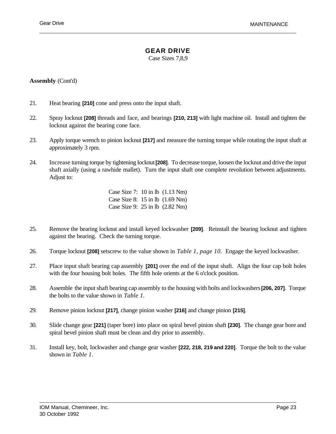Case Sizes 7,8,9

#### **Assembly** (Cont'd)

- 21. Heat bearing **[210]** cone and press onto the input shaft.
- 22. Spray locknut **[208]** threads and face, and bearings **[210, 213]** with light machine oil. Install and tighten the locknut against the bearing cone face.
- 23. Apply torque wrench to pinion locknut **[217]** and measure the turning torque while rotating the input shaft at approximately 3 rpm.
- 24. Increase turning torque by tightening locknut **[208]**. To decrease torque, loosen the locknut and drive the input shaft axially (using a rawhide mallet). Turn the input shaft one complete revolution between adjustments. Adjust to:

Case Size 7: 10 in lb (1.13 Nm) Case Size 8: 15 in lb (1.69 Nm) Case Size 9: 25 in lb (2.82 Nm)

- 25. Remove the bearing locknut and install keyed lockwasher **[209]**. Reinstall the bearing locknut and tighten against the bearing. Check the turning torque.
- 26. Torque locknut **[208]** setscrew to the value shown in *Table 1, page 10.* Engage the keyed lockwasher.
- 27. Place input shaft bearing cap assembly **[201]** over the end of the input shaft. Align the four cap bolt holes with the four housing bolt holes. The fifth hole orients at the 6 o'clock position.
- 28. Assemble the input shaft bearing cap assembly to the housing with bolts and lockwashers **[206, 207]**. Torque the bolts to the value shown in *Table 1.*
- 29. Remove pinion locknut **[217]**, change pinion washer **[216]** and change pinion **[215]**.
- 30. Slide change gear **[221]** (taper bore) into place on spiral bevel pinion shaft **[230]**. The change gear bore and spiral bevel pinion shaft must be clean and dry prior to assembly.
- 31. Install key, bolt, lockwasher and change gear washer **[222, 218, 219 and 220]**. Torque the bolt to the value shown in *Table 1*.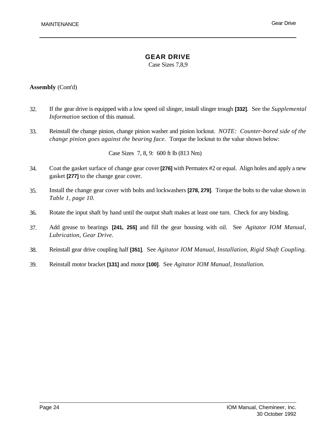## **GEAR DRIVE**

Case Sizes 7,8,9

#### **Assembly** (Cont'd)

- 32. If the gear drive is equipped with a low speed oil slinger, install slinger trough **[332]**. See the *Supplemental Information* section of this manual.
- 33. Reinstall the change pinion, change pinion washer and pinion locknut. *NOTE: Counter-bored side of the change pinion goes against the bearing face.* Torque the locknut to the value shown below:

Case Sizes 7, 8, 9: 600 ft lb (813 Nm)

- 34. Coat the gasket surface of change gear cover **[276]** with Permatex #2 or equal. Align holes and apply a new gasket **[277]** to the change gear cover.
- 35. Install the change gear cover with bolts and lockwashers **[278, 279]**. Torque the bolts to the value shown in *Table 1, page 10.*
- 36. Rotate the input shaft by hand until the output shaft makes at least one turn. Check for any binding.
- 37. Add grease to bearings **[241, 255]** and fill the gear housing with oil. See *Agitator IOM Manual, Lubrication, Gear Drive.*
- 38. Reinstall gear drive coupling half **[351]**. See *Agitator IOM Manual, Installation, Rigid Shaft Coupling.*
- 39. Reinstall motor bracket **[131]** and motor **[100]**. See *Agitator IOM Manual, Installation.*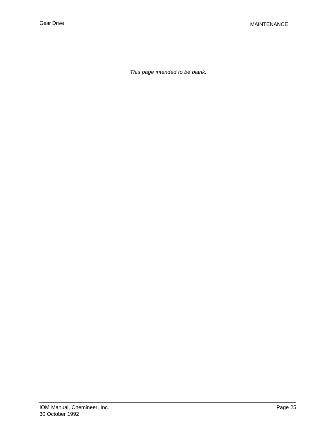*This page intended to be blank.*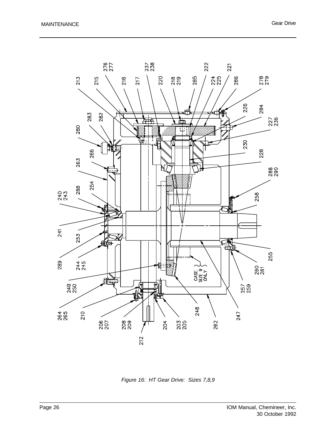

*Figure 16: HT Gear Drive: Sizes 7,8,9*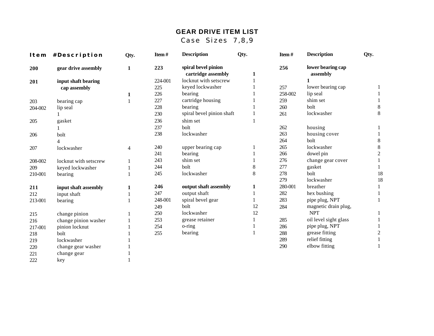## **GEAR DRIVE ITEM LIST**

Case Sizes 7,8,9

|         | Item #Description     | Qty.         | Item#   | <b>Description</b>                        | Qty.  | Item#   | <b>Description</b>            | Qty.           |
|---------|-----------------------|--------------|---------|-------------------------------------------|-------|---------|-------------------------------|----------------|
| 200     | gear drive assembly   | $\mathbf{1}$ | 223     | spiral bevel pinion<br>cartridge assembly | 1     | 256     | lower bearing cap<br>assembly |                |
| 201     | input shaft bearing   |              | 224-001 | locknut with setscrew                     |       |         |                               |                |
|         | cap assembly          |              | 225     | keyed lockwasher                          |       | 257     | lower bearing cap             |                |
|         |                       | 1            | 226     | bearing                                   |       | 258-002 | lip seal                      |                |
| 203     | bearing cap           | $\mathbf{1}$ | 227     | cartridge housing                         |       | 259     | shim set                      |                |
| 204-002 | lip seal              |              | 228     | bearing                                   |       | 260     | bolt                          | 8              |
|         |                       |              | 230     | spiral bevel pinion shaft                 | 1     | 261     | lockwasher                    | $8\,$          |
| 205     | gasket                |              | 236     | shim set                                  |       |         |                               |                |
|         |                       |              | 237     | bolt                                      |       | 262     | housing                       |                |
| 206     | bolt                  |              | 238     | lockwasher                                |       | 263     | housing cover                 |                |
|         |                       |              |         |                                           |       | 264     | bolt                          | $\,8\,$        |
| 207     | lockwasher            | 4            | 240     | upper bearing cap                         |       | 265     | lockwasher                    | $\,8\,$        |
|         |                       |              | 241     | bearing                                   |       | 266     | dowel pin                     | $\overline{c}$ |
| 208-002 | locknut with setscrew |              | 243     | shim set                                  |       | 276     | change gear cover             |                |
| 209     | keyed lockwasher      |              | 244     | bolt                                      | 8     | 277     | gasket                        |                |
| 210-001 | bearing               |              | 245     | lockwasher                                | $8\,$ | 278     | bolt                          | 18             |
|         |                       |              |         |                                           |       | 279     | lockwasher                    | 18             |
| 211     | input shaft assembly  | 1            | 246     | output shaft assembly                     | 1     | 280-001 | breather                      | 1              |
| 212     | input shaft           |              | 247     | output shaft                              |       | 282     | hex bushing                   |                |
| 213-001 | bearing               |              | 248-001 | spiral bevel gear                         |       | 283     | pipe plug, NPT                |                |
|         |                       |              | 249     | bolt                                      | 12    | 284     | magnetic drain plug,          |                |
| 215     | change pinion         |              | 250     | lockwasher                                | 12    |         | <b>NPT</b>                    |                |
| 216     | change pinion washer  |              | 253     | grease retainer                           | 1     | 285     | oil level sight glass         |                |
| 217-001 | pinion locknut        |              | 254     | o-ring                                    |       | 286     | pipe plug, NPT                |                |
| 218     | bolt                  |              | 255     | bearing                                   | 1     | 288     | grease fitting                | $\overline{c}$ |
| 219     | lockwasher            |              |         |                                           |       | 289     | relief fitting                |                |
| 220     | change gear washer    |              |         |                                           |       | 290     | elbow fitting                 |                |
| 221     | change gear           |              |         |                                           |       |         |                               |                |
| 222     | key                   |              |         |                                           |       |         |                               |                |
|         |                       |              |         |                                           |       |         |                               |                |